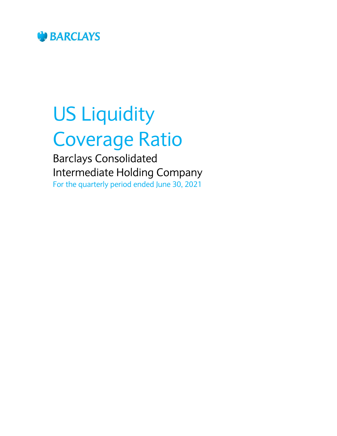

# US Liquidity Coverage Ratio

Barclays Consolidated Intermediate Holding Company For the quarterly period ended June 30, 2021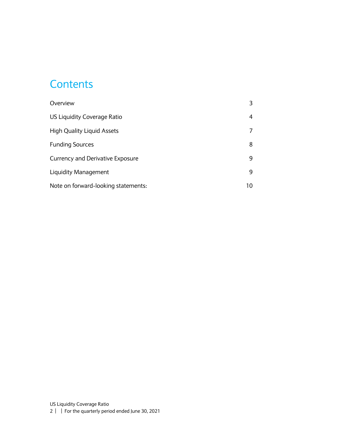#### **Contents**

| Overview                                |    |
|-----------------------------------------|----|
| US Liquidity Coverage Ratio             | 4  |
| <b>High Quality Liquid Assets</b>       |    |
| <b>Funding Sources</b>                  | 8  |
| <b>Currency and Derivative Exposure</b> | 9  |
| Liquidity Management                    | 9  |
| Note on forward-looking statements:     | 10 |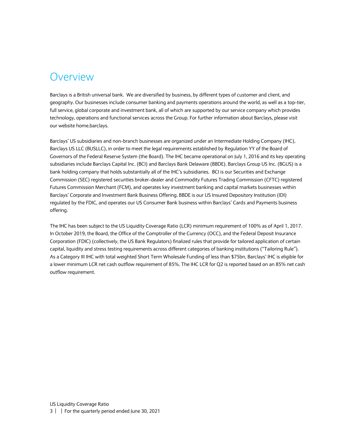#### <span id="page-2-0"></span>Overview

Barclays is a British universal bank. We are diversified by business, by different types of customer and client, and geography. Our businesses include consumer banking and payments operations around the world, as well as a top-tier, full service, global corporate and investment bank, all of which are supported by our service company which provides technology, operations and functional services across the Group. For further information about Barclays, please visit our website home.barclays.

Barclays' US subsidiaries and non-branch businesses are organized under an Intermediate Holding Company (IHC), Barclays US LLC (BUSLLC), in order to meet the legal requirements established by Regulation YY of the Board of Governors of the Federal Reserve System (the Board). The IHC became operational on July 1, 2016 and its key operating subsidiaries include Barclays Capital Inc. (BCI) and Barclays Bank Delaware (BBDE). Barclays Group US Inc. (BGUS) is a bank holding company that holds substantially all of the IHC's subsidiaries. BCI is our Securities and Exchange Commission (SEC) registered securities broker-dealer and Commodity Futures Trading Commission (CFTC) registered Futures Commission Merchant (FCM), and operates key investment banking and capital markets businesses within Barclays' Corporate and Investment Bank Business Offering. BBDE is our US Insured Depository Institution (IDI) regulated by the FDIC, and operates our US Consumer Bank business within Barclays' Cards and Payments business offering.

The IHC has been subject to the US Liquidity Coverage Ratio (LCR) minimum requirement of 100% as of April 1, 2017. In October 2019, the Board, the Office of the Comptroller of the Currency (OCC), and the Federal Deposit Insurance Corporation (FDIC) (collectively, the US Bank Regulators) finalized rules that provide for tailored application of certain capital, liquidity and stress testing requirements across different categories of banking institutions ("Tailoring Rule"). As a Category III IHC with total weighted Short Term Wholesale Funding of less than \$75bn, Barclays' IHC is eligible for a lower minimum LCR net cash outflow requirement of 85%. The IHC LCR for Q2 is reported based on an 85% net cash outflow requirement.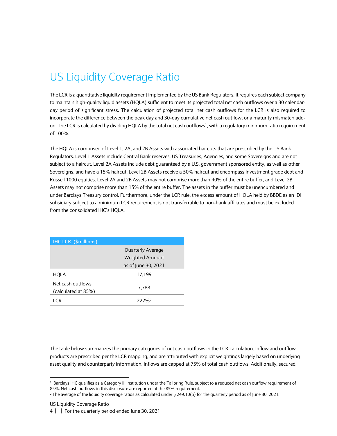# <span id="page-3-0"></span>US Liquidity Coverage Ratio

The LCR is a quantitative liquidity requirement implemented by the US Bank Regulators. It requires each subject company to maintain high-quality liquid assets (HQLA) sufficient to meet its projected total net cash outflows over a 30 calendarday period of significant stress. The calculation of projected total net cash outflows for the LCR is also required to incorporate the difference between the peak day and 30-day cumulative net cash outflow, or a maturity mismatch addon. The LCR is calculated by dividing HQLA by the total net cash outflows<sup>1</sup>, with a regulatory minimum ratio requirement of 100%.

The HQLA is comprised of Level 1, 2A, and 2B Assets with associated haircuts that are prescribed by the US Bank Regulators. Level 1 Assets include Central Bank reserves, US Treasuries, Agencies, and some Sovereigns and are not subject to a haircut. Level 2A Assets include debt guaranteed by a U.S. government sponsored entity, as well as other Sovereigns, and have a 15% haircut. Level 2B Assets receive a 50% haircut and encompass investment grade debt and Russell 1000 equities. Level 2A and 2B Assets may not comprise more than 40% of the entire buffer, and Level 2B Assets may not comprise more than 15% of the entire buffer. The assets in the buffer must be unencumbered and under Barclays Treasury control. Furthermore, under the LCR rule, the excess amount of HQLA held by BBDE as an IDI subsidiary subject to a minimum LCR requirement is not transferrable to non-bank affiliates and must be excluded from the consolidated IHC's HQLA.

| <b>IHC LCR (\$millions)</b>              |                          |
|------------------------------------------|--------------------------|
|                                          | <b>Quarterly Average</b> |
|                                          | <b>Weighted Amount</b>   |
|                                          | as of June 30, 2021      |
| HQLA                                     | 17,199                   |
| Net cash outflows<br>(calculated at 85%) | 7,788                    |
| I CR                                     | 222%2                    |

The table below summarizes the primary categories of net cash outflows in the LCR calculation. Inflow and outflow products are prescribed per the LCR mapping, and are attributed with explicit weightings largely based on underlying asset quality and counterparty information. Inflows are capped at 75% of total cash outflows. Additionally, secured

1

<sup>1</sup> Barclays IHC qualifies as a Category III institution under the Tailoring Rule, subject to a reduced net cash outflow requirement of 85%. Net cash outflows in this disclosure are reported at the 85% requirement.

<sup>&</sup>lt;sup>2</sup> The average of the liquidity coverage ratios as calculated under § 249.10(b) for the quarterly period as of June 30, 2021.

US Liquidity Coverage Ratio

<sup>4</sup> | | For the quarterly period ended June 30, 2021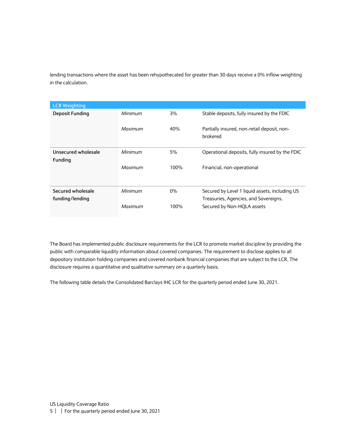lending transactions where the asset has been rehypothecated for greater than 30 days receive a 0% inflow weighting in the calculation.

| <b>LCR Weighting</b>   |         |       |                                                         |
|------------------------|---------|-------|---------------------------------------------------------|
| <b>Deposit Funding</b> | Minimum | 3%    | Stable deposits, fully insured by the FDIC              |
|                        | Maximum | 40%   | Partially insured, non-retail deposit, non-<br>brokered |
| Unsecured wholesale    | Minimum | 5%    | Operational deposits, fully insured by the FDIC         |
| <b>Funding</b>         |         |       |                                                         |
|                        | Maximum | 100%  | Financial, non-operational                              |
| Secured wholesale      | Minimum | $0\%$ | Secured by Level 1 liquid assets, including US          |
| funding/lending        |         |       | Treasuries, Agencies, and Sovereigns.                   |
|                        | Maximum | 100%  | Secured by Non-HQLA assets                              |

The Board has implemented public disclosure requirements for the LCR to promote market discipline by providing the public with comparable liquidity information about covered companies. The requirement to disclose applies to all depository institution holding companies and covered nonbank financial companies that are subject to the LCR. The disclosure requires a quantitative and qualitative summary on a quarterly basis.

The following table details the Consolidated Barclays IHC LCR for the quarterly period ended June 30, 2021.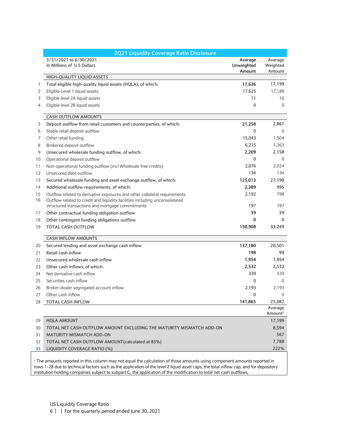|    | 2Q21 Liquidity Coverage Ratio Disclosure                                    |                                 |                                |
|----|-----------------------------------------------------------------------------|---------------------------------|--------------------------------|
|    | 3/31/2021 to 6/30/2021<br>In Millions of U.S Dollars                        | Average<br>Unweighted<br>Amount | Average<br>Weighted<br>Amount  |
|    | HIGH-QUALITY LIQUID ASSETS                                                  |                                 |                                |
| 1  | Total eligible high-quality liquid assets (HQLA), of which:                 | 17,636                          | 17,199                         |
| 2  | Eligible Level 1 liquid assets                                              | 17,625                          | 17,189                         |
| 3  | Eligible level 2A liquid assets                                             | 11                              | 10                             |
| 4  | Eligible level 2B liquid assets                                             | $\mathbf 0$                     | $\Omega$                       |
|    | <b>CASH OUTFLOW AMOUNTS</b>                                                 |                                 |                                |
| 5  | Deposit outflow from retail customers and counterparties, of which:         | 21,258                          | 2,867                          |
| 6  | Stable retail deposit outflow                                               | $\mathbf{0}$                    | $\mathbf{0}$                   |
| 7  | Other retail funding                                                        | 15,043                          | 1,504                          |
| 8  | Brokered deposit outflow                                                    | 6,215                           | 1,363                          |
| 9  | Unsecured wholesale funding outflow, of which:                              | 2,209                           | 2,158                          |
| 10 | Operational deposit outflow                                                 | $\mathbf{0}$                    | $\mathbf{0}$                   |
| 11 | Non-operational funding outflow (incl Wholesale free credits)               | 2,076                           | 2.024                          |
| 12 | Unsecured debt outflow                                                      | 134                             | 134                            |
| 13 | Secured wholesale funding and asset exchange outflow, of which:             | 125,013                         | 27,190                         |
| 14 | Additional outflow requirements, of which:                                  | 2,389                           | 995                            |
| 15 | Outflow related to derivative exposures and other collateral requirements   | 2,192                           | 798                            |
| 16 | Outflow related to credit and liquidity facilities including unconsolidated |                                 |                                |
|    | structured transactions and mortgage commitments                            | 197                             | 197                            |
| 17 | Other contractual funding obligation outflow                                | 39                              | 39                             |
| 18 | Other contingent funding obligations outflow                                | 0                               | 0                              |
| 19 | <b>TOTAL CASH OUTFLOW</b>                                                   | 150,908                         | 33,249                         |
|    | <b>CASH INFLOW AMOUNTS</b>                                                  |                                 |                                |
| 20 | Secured lending and asset exchange cash inflow                              | 137,180                         | 20,501                         |
| 21 | Retail cash inflow                                                          | 198                             | 99                             |
| 22 | Unsecured wholesale cash inflow                                             | 1,954                           | 1,954                          |
| 23 | Other cash inflows, of which:                                               | 2,532                           | 2,532                          |
| 24 | Net derivative cash inflow                                                  | 339                             | 339                            |
| 25 | Securities cash inflow                                                      | $\mathbf 0$                     | $\Omega$                       |
| 26 | Broker-dealer segregated account inflow                                     | 2,193                           | 2,193                          |
| 27 | Other cash inflow                                                           | $\Omega$                        | $\Omega$                       |
| 28 | <b>TOTAL CASH INFLOW</b>                                                    | 141,865                         | 25,087                         |
|    |                                                                             |                                 | Average<br>Amount <sup>1</sup> |
| 29 | <b>HQLA AMOUNT</b>                                                          |                                 | 17,199                         |
| 30 | TOTAL NET CASH OUTFLOW AMOUNT EXCLUDING THE MATURITY MISMATCH ADD-ON        |                                 | 8,594                          |
| 31 | <b>MATURITY MISMATCH ADD-ON</b>                                             |                                 | 567                            |
| 32 | TOTAL NET CASH OUTFLOW AMOUNT (calculated at 85%)                           |                                 | 7,788                          |
| 33 | LIQUIDITY COVERAGE RATIO (%)                                                |                                 | 222%                           |

<sup>1</sup> The amounts reported in this column may not equal the calculation of those amounts using component amounts reported in rows 1-28 due to technical factors such as the application of the level 2 liquid asset caps, the total inflow cap, and for depository institution holding companies subject to subpart G, the application of the modification to total net cash outflows.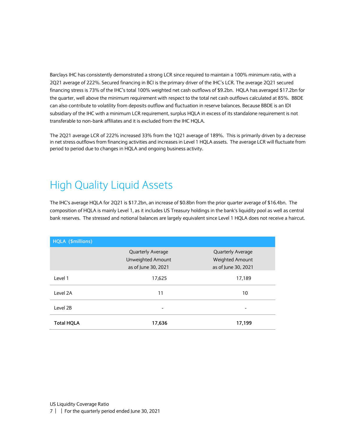Barclays IHC has consistently demonstrated a strong LCR since required to maintain a 100% minimum ratio, with a 2Q21 average of 222%. Secured financing in BCI is the primary driver of the IHC's LCR. The average 2Q21 secured financing stress is 73% of the IHC's total 100% weighted net cash outflows of \$9.2bn. HQLA has averaged \$17.2bn for the quarter, well above the minimum requirement with respect to the total net cash outflows calculated at 85%. BBDE can also contribute to volatility from deposits outflow and fluctuation in reserve balances. Because BBDE is an IDI subsidiary of the IHC with a minimum LCR requirement, surplus HQLA in excess of its standalone requirement is not transferable to non-bank affiliates and it is excluded from the IHC HQLA.

The 2Q21 average LCR of 222% increased 33% from the 1Q21 average of 189%. This is primarily driven by a decrease in net stress outflows from financing activities and increases in Level 1 HQLA assets. The average LCR will fluctuate from period to period due to changes in HQLA and ongoing business activity.

## <span id="page-6-0"></span>High Quality Liquid Assets

The IHC's average HQLA for 2Q21 is \$17.2bn, an increase of \$0.8bn from the prior quarter average of \$16.4bn. The composition of HQLA is mainly Level 1, as it includes US Treasury holdings in the bank's liquidity pool as well as central bank reserves. The stressed and notional balances are largely equivalent since Level 1 HQLA does not receive a haircut.

| HQLA (\$millions) |                                          |                                        |
|-------------------|------------------------------------------|----------------------------------------|
|                   | <b>Quarterly Average</b>                 | <b>Quarterly Average</b>               |
|                   | Unweighted Amount<br>as of June 30, 2021 | Weighted Amount<br>as of June 30, 2021 |
| Level 1           | 17,625                                   | 17,189                                 |
| Level 2A          | 11                                       | 10                                     |
| Level 2B          |                                          | -                                      |
| <b>Total HQLA</b> | 17,636                                   | 17,199                                 |

US Liquidity Coverage Ratio

7 | | For the quarterly period ended June 30, 2021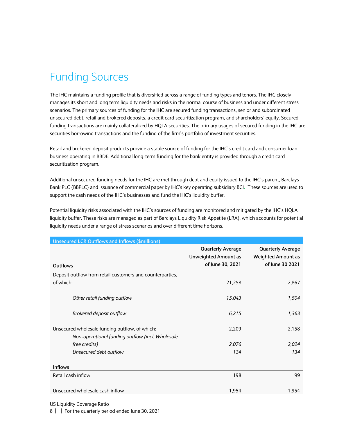# <span id="page-7-0"></span>Funding Sources

The IHC maintains a funding profile that is diversified across a range of funding types and tenors. The IHC closely manages its short and long term liquidity needs and risks in the normal course of business and under different stress scenarios. The primary sources of funding for the IHC are secured funding transactions, senior and subordinated unsecured debt, retail and brokered deposits, a credit card securitization program, and shareholders' equity. Secured funding transactions are mainly collateralized by HQLA securities. The primary usages of secured funding in the IHC are securities borrowing transactions and the funding of the firm's portfolio of investment securities.

Retail and brokered deposit products provide a stable source of funding for the IHC's credit card and consumer loan business operating in BBDE. Additional long-term funding for the bank entity is provided through a credit card securitization program.

Additional unsecured funding needs for the IHC are met through debt and equity issued to the IHC's parent, Barclays Bank PLC (BBPLC) and issuance of commercial paper by IHC's key operating subsidiary BCI. These sources are used to support the cash needs of the IHC's businesses and fund the IHC's liquidity buffer.

Potential liquidity risks associated with the IHC's sources of funding are monitored and mitigated by the IHC's HQLA liquidity buffer. These risks are managed as part of Barclays Liquidity Risk Appetite (LRA), which accounts for potential liquidity needs under a range of stress scenarios and over different time horizons.

| <b>Unsecured LCR Outflows and Inflows (\$millions)</b>                                             |                                                                             |                                                                          |  |
|----------------------------------------------------------------------------------------------------|-----------------------------------------------------------------------------|--------------------------------------------------------------------------|--|
| <b>Outflows</b>                                                                                    | <b>Quarterly Average</b><br><b>Unweighted Amount as</b><br>of June 30, 2021 | <b>Quarterly Average</b><br><b>Weighted Amount as</b><br>of June 30 2021 |  |
| Deposit outflow from retail customers and counterparties,                                          |                                                                             |                                                                          |  |
| of which:                                                                                          | 21,258                                                                      | 2,867                                                                    |  |
| Other retail funding outflow                                                                       | 15,043                                                                      | 1,504                                                                    |  |
| <b>Brokered deposit outflow</b>                                                                    | 6,215                                                                       | 1,363                                                                    |  |
| Unsecured wholesale funding outflow, of which:<br>Non-operational funding outflow (incl. Wholesale | 2,209                                                                       | 2,158                                                                    |  |
| free credits)                                                                                      | 2,076                                                                       | 2,024                                                                    |  |
| Unsecured debt outflow                                                                             | 134                                                                         | 134                                                                      |  |
| <b>Inflows</b>                                                                                     |                                                                             |                                                                          |  |
| Retail cash inflow                                                                                 | 198                                                                         | 99                                                                       |  |
| Unsecured wholesale cash inflow                                                                    | 1,954                                                                       | 1,954                                                                    |  |

US Liquidity Coverage Ratio

8 | | For the quarterly period ended June 30, 2021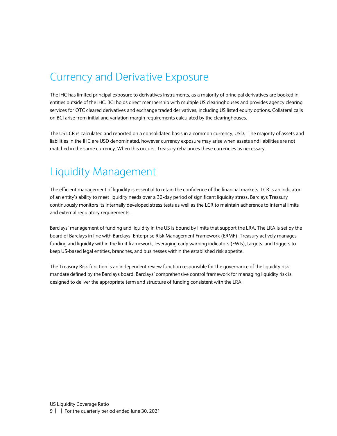#### <span id="page-8-0"></span>Currency and Derivative Exposure

The IHC has limited principal exposure to derivatives instruments, as a majority of principal derivatives are booked in entities outside of the IHC. BCI holds direct membership with multiple US clearinghouses and provides agency clearing services for OTC cleared derivatives and exchange traded derivatives, including US listed equity options. Collateral calls on BCI arise from initial and variation margin requirements calculated by the clearinghouses.

The US LCR is calculated and reported on a consolidated basis in a common currency, USD. The majority of assets and liabilities in the IHC are USD denominated, however currency exposure may arise when assets and liabilities are not matched in the same currency. When this occurs, Treasury rebalances these currencies as necessary.

#### <span id="page-8-1"></span>Liquidity Management

The efficient management of liquidity is essential to retain the confidence of the financial markets. LCR is an indicator of an entity's ability to meet liquidity needs over a 30-day period of significant liquidity stress. Barclays Treasury continuously monitors its internally developed stress tests as well as the LCR to maintain adherence to internal limits and external regulatory requirements.

Barclays' management of funding and liquidity in the US is bound by limits that support the LRA. The LRA is set by the board of Barclays in line with Barclays' Enterprise Risk Management Framework (ERMF). Treasury actively manages funding and liquidity within the limit framework, leveraging early warning indicators (EWIs), targets, and triggers to keep US-based legal entities, branches, and businesses within the established risk appetite.

The Treasury Risk function is an independent review function responsible for the governance of the liquidity risk mandate defined by the Barclays board. Barclays' comprehensive control framework for managing liquidity risk is designed to deliver the appropriate term and structure of funding consistent with the LRA.